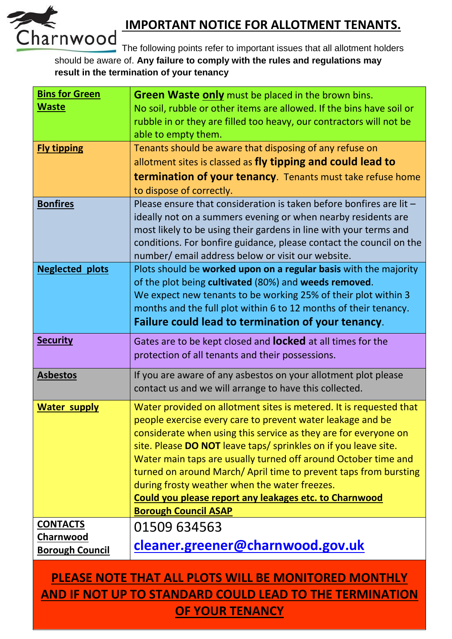

## **IMPORTANT NOTICE FOR ALLOTMENT TENANTS.**

The following points refer to important issues that all allotment holders should be aware of. **Any failure to comply with the rules and regulations may result in the termination of your tenancy**

| <b>Bins for Green</b>  | <b>Green Waste only</b> must be placed in the brown bins.                                                                          |
|------------------------|------------------------------------------------------------------------------------------------------------------------------------|
| <b>Waste</b>           | No soil, rubble or other items are allowed. If the bins have soil or                                                               |
|                        | rubble in or they are filled too heavy, our contractors will not be                                                                |
|                        | able to empty them.                                                                                                                |
| <b>Fly tipping</b>     | Tenants should be aware that disposing of any refuse on                                                                            |
|                        | allotment sites is classed as fly tipping and could lead to                                                                        |
|                        | termination of your tenancy. Tenants must take refuse home                                                                         |
|                        | to dispose of correctly.                                                                                                           |
| <b>Bonfires</b>        | Please ensure that consideration is taken before bonfires are lit -                                                                |
|                        | ideally not on a summers evening or when nearby residents are<br>most likely to be using their gardens in line with your terms and |
|                        | conditions. For bonfire guidance, please contact the council on the                                                                |
|                        | number/ email address below or visit our website.                                                                                  |
| <b>Neglected plots</b> | Plots should be worked upon on a regular basis with the majority                                                                   |
|                        | of the plot being cultivated (80%) and weeds removed.                                                                              |
|                        | We expect new tenants to be working 25% of their plot within 3                                                                     |
|                        | months and the full plot within 6 to 12 months of their tenancy.                                                                   |
|                        | Failure could lead to termination of your tenancy.                                                                                 |
| <b>Security</b>        | Gates are to be kept closed and <b>locked</b> at all times for the                                                                 |
|                        | protection of all tenants and their possessions.                                                                                   |
| <b>Asbestos</b>        | If you are aware of any asbestos on your allotment plot please                                                                     |
|                        | contact us and we will arrange to have this collected.                                                                             |
| <b>Water supply</b>    | Water provided on allotment sites is metered. It is requested that                                                                 |
|                        | people exercise every care to prevent water leakage and be                                                                         |
|                        | considerate when using this service as they are for everyone on                                                                    |
|                        | site. Please DO NOT leave taps/ sprinkles on if you leave site.                                                                    |
|                        | Water main taps are usually turned off around October time and<br>turned on around March/April time to prevent taps from bursting  |
|                        | during frosty weather when the water freezes.                                                                                      |
|                        | Could you please report any leakages etc. to Charnwood                                                                             |
|                        | <b>Borough Council ASAP</b>                                                                                                        |
| <b>CONTACTS</b>        | 01509 634563                                                                                                                       |
| Charnwood              | cleaner.greener@charnwood.gov.uk                                                                                                   |
| <b>Borough Council</b> |                                                                                                                                    |
|                        | DI EACE NOTE TUAT ALL DI OTC WILL BE MONITODED MONITULV                                                                            |

## **PLEASE NOTE THAT ALL PLOTS WILL BE MONITORED MONTHLY AND IF NOT UP TO STANDARD COULD LEAD TO THE TERMINATION OF YOUR TENANCY**